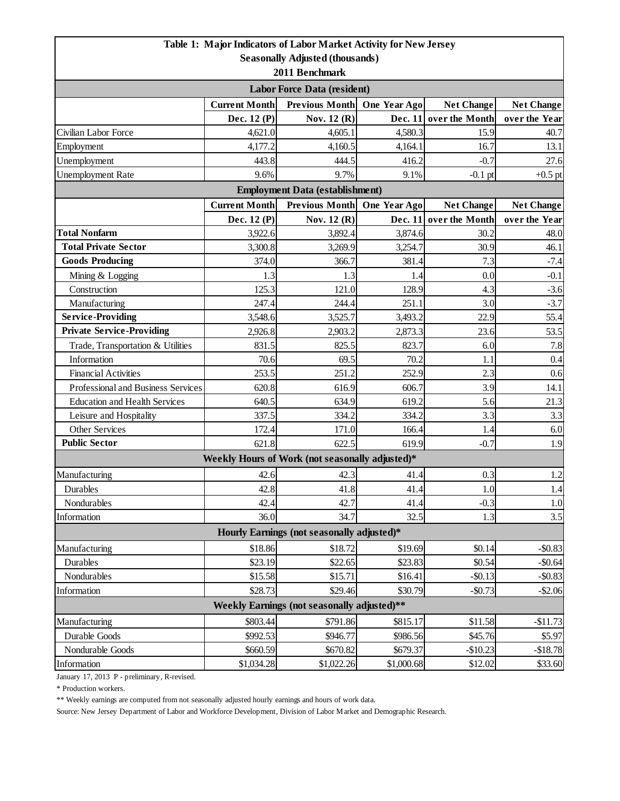|                                                                           |                      | Table 1: Major Indicators of Labor Market Activity for New Jersey |              |                        |                   |  |  |  |
|---------------------------------------------------------------------------|----------------------|-------------------------------------------------------------------|--------------|------------------------|-------------------|--|--|--|
|                                                                           |                      | <b>Seasonally Adjusted (thousands)</b>                            |              |                        |                   |  |  |  |
| 2011 Benchmark                                                            |                      |                                                                   |              |                        |                   |  |  |  |
| <b>Labor Force Data (resident)</b>                                        |                      |                                                                   |              |                        |                   |  |  |  |
|                                                                           | <b>Current Month</b> | <b>Previous Month</b>                                             | One Year Ago | <b>Net Change</b>      | <b>Net Change</b> |  |  |  |
|                                                                           | Dec. 12 (P)          | Nov. 12 (R)                                                       |              | Dec. 11 over the Month | over the Year     |  |  |  |
| Civilian Labor Force                                                      | 4,621.0              | 4,605.1                                                           | 4,580.3      | 15.9                   | 40.7              |  |  |  |
| Employment                                                                | 4,177.2              | 4,160.5                                                           | 4,164.1      | 16.7                   | 13.1              |  |  |  |
| Unemployment                                                              | 443.8                | 444.5                                                             | 416.2        | $-0.7$                 | 27.6              |  |  |  |
| <b>Unemployment Rate</b>                                                  | 9.6%                 | 9.7%                                                              | 9.1%         | $-0.1$ pt              | $+0.5$ pt         |  |  |  |
|                                                                           |                      | <b>Employment Data (establishment)</b>                            |              |                        |                   |  |  |  |
|                                                                           | <b>Current Month</b> | <b>Previous Month</b>                                             | One Year Ago | <b>Net Change</b>      | <b>Net Change</b> |  |  |  |
|                                                                           | Dec. 12 (P)          | Nov. 12 (R)                                                       | Dec. 11      | over the Month         | over the Year     |  |  |  |
| <b>Total Nonfarm</b>                                                      | 3,922.6              | 3,892.4                                                           | 3,874.6      | 30.2                   | 48.0              |  |  |  |
| <b>Total Private Sector</b>                                               | 3,300.8              | 3,269.9                                                           | 3,254.7      | 30.9                   | 46.1              |  |  |  |
| <b>Goods Producing</b>                                                    | 374.0                | 366.7                                                             | 381.4        | 7.3                    | $-7.4$            |  |  |  |
| Mining & Logging                                                          | 1.3                  | 1.3                                                               | 1.4          | 0.0                    | $-0.1$            |  |  |  |
| Construction                                                              | 125.3                | 121.0                                                             | 128.9        | 4.3                    | $-3.6$            |  |  |  |
| Manufacturing                                                             | 247.4                | 244.4                                                             | 251.1        | 3.0                    | $-3.7$            |  |  |  |
| <b>Service-Providing</b>                                                  | 3,548.6              | 3,525.7                                                           | 3,493.2      | 22.9                   | 55.4              |  |  |  |
| <b>Private Service-Providing</b>                                          | 2,926.8              | 2,903.2                                                           | 2,873.3      | 23.6                   | 53.5              |  |  |  |
| Trade, Transportation & Utilities                                         | 831.5                | 825.5                                                             | 823.7        | 6.0                    | 7.8               |  |  |  |
| Information                                                               | 70.6                 | 69.5                                                              | 70.2         | 1.1                    | 0.4               |  |  |  |
| <b>Financial Activities</b>                                               | 253.5                | 251.2                                                             | 252.9        | 2.3                    | 0.6               |  |  |  |
| Professional and Business Services                                        | 620.8                | 616.9                                                             | 606.7        | 3.9                    | 14.1              |  |  |  |
| <b>Education and Health Services</b>                                      | 640.5                | 634.9                                                             | 619.2        | 5.6                    | 21.3              |  |  |  |
| Leisure and Hospitality                                                   | 337.5                | 334.2                                                             | 334.2        | 3.3                    | 3.3               |  |  |  |
| <b>Other Services</b>                                                     | 172.4                | 171.0                                                             | 166.4        | 1.4                    | 6.0               |  |  |  |
| <b>Public Sector</b>                                                      | 621.8                | 622.5                                                             | 619.9        | $-0.7$                 | 1.9               |  |  |  |
|                                                                           |                      | Weekly Hours of Work (not seasonally adjusted)*                   |              |                        |                   |  |  |  |
| Manufacturing                                                             | 42.6                 | 42.3                                                              | 41.4         | 0.3                    | 1.2               |  |  |  |
| Durables                                                                  | 42.8                 | 41.8                                                              | 41.4         | 1.0                    | 1.4               |  |  |  |
| Nondurables                                                               | 42.4                 | 42.7                                                              | 41.4         | $-0.3$                 | 1.0               |  |  |  |
| Information                                                               | 36.0                 | 34.7                                                              | 32.5         | 1.3                    | 3.5               |  |  |  |
| Hourly Earnings (not seasonally adjusted)*                                |                      |                                                                   |              |                        |                   |  |  |  |
| Manufacturing                                                             | \$18.86              | \$18.72                                                           | \$19.69      | \$0.14                 | $-$0.83$          |  |  |  |
| Durables                                                                  | \$23.19              | \$22.65                                                           | \$23.83      | \$0.54                 | $-$0.64$          |  |  |  |
| Nondurables                                                               | \$15.58              | \$15.71                                                           | \$16.41      | $-$0.13$               | $-$ \$0.83        |  |  |  |
| Information                                                               | \$28.73              | \$29.46                                                           | \$30.79      | $-$0.73$               | $-$ \$2.06        |  |  |  |
| Weekly Earnings (not seasonally adjusted)**                               |                      |                                                                   |              |                        |                   |  |  |  |
| \$803.44<br>\$791.86<br>Manufacturing<br>\$815.17<br>\$11.58<br>$-$11.73$ |                      |                                                                   |              |                        |                   |  |  |  |
| Durable Goods                                                             | \$992.53             | \$946.77                                                          | \$986.56     | \$45.76                | \$5.97            |  |  |  |
| Nondurable Goods                                                          | \$660.59             | \$670.82                                                          | \$679.37     | $-$10.23$              | $-$18.78$         |  |  |  |
| Information                                                               | \$1,034.28           | \$1,022.26                                                        | \$1,000.68   | \$12.02                | \$33.60           |  |  |  |
|                                                                           |                      |                                                                   |              |                        |                   |  |  |  |

January 17, 2013 P - preliminary, R-revised.

\* Production workers.

\*\* Weekly earnings are computed from not seasonally adjusted hourly earnings and hours of work data.

Source: New Jersey Department of Labor and Workforce Development, Division of Labor Market and Demographic Research.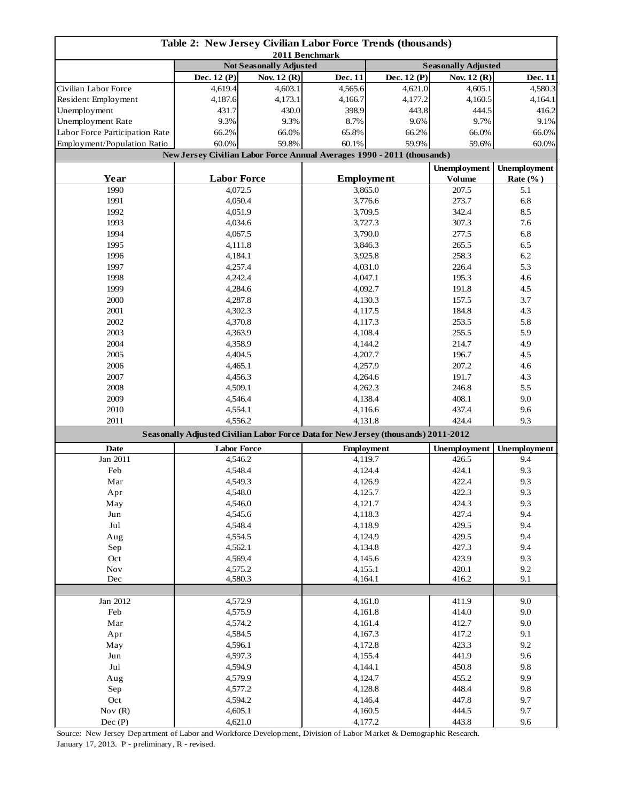| Table 2: New Jersey Civilian Labor Force Trends (thousands)<br>2011 Benchmark |                    |                                                                                    |                                                                         |                            |                     |                     |  |
|-------------------------------------------------------------------------------|--------------------|------------------------------------------------------------------------------------|-------------------------------------------------------------------------|----------------------------|---------------------|---------------------|--|
|                                                                               |                    | <b>Not Seasonally Adjusted</b>                                                     |                                                                         | <b>Seasonally Adjusted</b> |                     |                     |  |
|                                                                               | Dec. 12 (P)        | Nov. 12 (R)                                                                        | Dec. 11                                                                 | Dec. 12 (P)                | Nov. 12 (R)         | Dec. 11             |  |
| Civilian Labor Force                                                          | 4,619.4            | 4,603.1                                                                            | 4,565.6                                                                 | 4,621.0                    | 4,605.1             | 4,580.3             |  |
| Resident Employment                                                           | 4,187.6            | 4,173.1                                                                            | 4,166.7                                                                 | 4,177.2                    | 4,160.5             | 4,164.1             |  |
| Unemployment                                                                  | 431.7              | 430.0                                                                              | 398.9                                                                   | 443.8                      | 444.5               | 416.2               |  |
| Unemployment Rate                                                             | 9.3%               | 9.3%                                                                               | 8.7%                                                                    | 9.6%                       | 9.7%                | 9.1%                |  |
| Labor Force Participation Rate                                                | 66.2%              | 66.0%                                                                              | 65.8%                                                                   | 66.2%                      | 66.0%               | 66.0%               |  |
| Employment/Population Ratio                                                   | 60.0%              | 59.8%                                                                              | 60.1%                                                                   | 59.9%                      | 59.6%               | 60.0%               |  |
|                                                                               |                    |                                                                                    | New Jersey Civilian Labor Force Annual Averages 1990 - 2011 (thousands) |                            |                     |                     |  |
|                                                                               |                    |                                                                                    |                                                                         |                            | <b>Unemployment</b> | <b>Unemployment</b> |  |
| Year                                                                          | <b>Labor Force</b> |                                                                                    | <b>Employment</b>                                                       |                            | <b>Volume</b>       | Rate $(\%$ )        |  |
| 1990                                                                          | 4,072.5            |                                                                                    | 3,865.0                                                                 |                            | 207.5               | 5.1                 |  |
| 1991                                                                          | 4,050.4            |                                                                                    | 3,776.6                                                                 |                            | 273.7               | 6.8                 |  |
| 1992                                                                          | 4,051.9            |                                                                                    | 3,709.5                                                                 |                            | 342.4               | 8.5                 |  |
| 1993                                                                          | 4,034.6            |                                                                                    |                                                                         | 3,727.3                    |                     | 7.6                 |  |
| 1994                                                                          | 4,067.5            |                                                                                    |                                                                         | 3,790.0                    |                     | 6.8                 |  |
| 1995                                                                          | 4,111.8            |                                                                                    | 3,846.3                                                                 |                            | 277.5<br>265.5      | 6.5                 |  |
| 1996                                                                          | 4,184.1            |                                                                                    | 3,925.8                                                                 |                            | 258.3               | 6.2                 |  |
| 1997                                                                          | 4,257.4            |                                                                                    | 4,031.0                                                                 |                            | 226.4               | 5.3                 |  |
| 1998                                                                          | 4,242.4            |                                                                                    | 4,047.1                                                                 |                            | 195.3               | 4.6                 |  |
| 1999                                                                          | 4,284.6            |                                                                                    | 4,092.7                                                                 |                            | 191.8               | 4.5                 |  |
| 2000                                                                          | 4,287.8            |                                                                                    | 4,130.3                                                                 |                            | 157.5               | 3.7                 |  |
| 2001                                                                          | 4,302.3            |                                                                                    | 4,117.5                                                                 |                            | 184.8               | 4.3                 |  |
| 2002                                                                          | 4,370.8            |                                                                                    | 4,117.3                                                                 |                            | 253.5               | 5.8                 |  |
| 2003                                                                          | 4,363.9            |                                                                                    | 4,108.4                                                                 |                            | 255.5               | 5.9                 |  |
| 2004                                                                          | 4,358.9            |                                                                                    | 4,144.2                                                                 |                            | 214.7               | 4.9                 |  |
| 2005                                                                          | 4,404.5            |                                                                                    |                                                                         | 4,207.7                    |                     | 4.5                 |  |
| 2006                                                                          | 4,465.1            |                                                                                    |                                                                         | 4,257.9                    |                     | 4.6                 |  |
| 2007                                                                          | 4,456.3            |                                                                                    |                                                                         | 4,264.6                    |                     | 4.3                 |  |
| 2008                                                                          | 4,509.1            |                                                                                    |                                                                         | 4,262.3                    |                     | 5.5                 |  |
| 2009                                                                          | 4,546.4            |                                                                                    |                                                                         | 4,138.4                    |                     | 9.0                 |  |
| 2010                                                                          | 4,554.1            |                                                                                    |                                                                         | 4,116.6                    |                     | 9.6                 |  |
| 2011                                                                          | 4,556.2            |                                                                                    |                                                                         | 4,131.8                    |                     | 9.3                 |  |
|                                                                               |                    | Seasonally Adjusted Civilian Labor Force Data for New Jersey (thousands) 2011-2012 |                                                                         |                            | 424.4               |                     |  |
|                                                                               |                    |                                                                                    |                                                                         |                            | <b>Unemployment</b> |                     |  |
| Date                                                                          | <b>Labor Force</b> |                                                                                    |                                                                         | <b>Employment</b>          |                     | <b>Unemployment</b> |  |
| Jan 2011                                                                      | 4,546.2            |                                                                                    | 4,119.7                                                                 |                            | 426.5<br>424.1      | 9.4                 |  |
| Feb                                                                           | 4,548.4            |                                                                                    |                                                                         | 4,124.4                    |                     | 9.3                 |  |
| Mar                                                                           | 4,549.3            |                                                                                    |                                                                         | 4,126.9                    |                     | 9.3                 |  |
| Apr                                                                           | 4,548.0            |                                                                                    |                                                                         | 4,125.7                    |                     | 9.3                 |  |
| May                                                                           | 4,546.0            |                                                                                    | 4,121.7                                                                 |                            | 424.3               | 9.3                 |  |
| Jun                                                                           | 4,545.6            |                                                                                    | 4,118.3                                                                 |                            | 427.4               | 9.4                 |  |
| $_{\rm{Jul}}$                                                                 | 4,548.4            |                                                                                    | 4,118.9                                                                 |                            | 429.5               | 9.4                 |  |
| Aug                                                                           | 4,554.5            |                                                                                    | 4,124.9                                                                 |                            | 429.5               | 9.4                 |  |
| Sep                                                                           | 4,562.1<br>4,569.4 |                                                                                    | 4,134.8                                                                 |                            | 427.3               | 9.4                 |  |
| Oct                                                                           |                    |                                                                                    | 4,145.6                                                                 |                            | 423.9               | 9.3                 |  |
| Nov<br>Dec                                                                    | 4,575.2            |                                                                                    | 4,155.1<br>4,164.1                                                      |                            | 420.1<br>416.2      | 9.2<br>9.1          |  |
|                                                                               | 4,580.3            |                                                                                    |                                                                         |                            |                     |                     |  |
| Jan 2012                                                                      |                    |                                                                                    |                                                                         |                            | 411.9               | 9.0                 |  |
| Feb                                                                           | 4,572.9            |                                                                                    | 4,161.0<br>4,161.8                                                      |                            | 414.0               | 9.0                 |  |
| Mar                                                                           | 4,575.9            |                                                                                    | 4,161.4                                                                 |                            | 412.7               | 9.0                 |  |
| Apr                                                                           | 4,574.2<br>4,584.5 |                                                                                    | 4,167.3                                                                 |                            | 417.2               | 9.1                 |  |
| May                                                                           | 4,596.1            |                                                                                    | 4,172.8                                                                 |                            | 423.3               | 9.2                 |  |
| Jun                                                                           | 4,597.3            |                                                                                    | 4,155.4                                                                 |                            | 441.9               | 9.6                 |  |
| Jul                                                                           | 4,594.9            |                                                                                    |                                                                         | 4,144.1                    |                     | 9.8                 |  |
| Aug                                                                           | 4,579.9            |                                                                                    |                                                                         | 4,124.7                    |                     | 9.9                 |  |
| Sep                                                                           | 4,577.2            |                                                                                    |                                                                         | 4,128.8                    |                     | 9.8                 |  |
| Oct                                                                           | 4,594.2            |                                                                                    | 4,146.4                                                                 |                            | 448.4<br>447.8      | 9.7                 |  |
| Nov $(R)$                                                                     | 4,605.1            |                                                                                    | 4,160.5                                                                 |                            | 444.5               | 9.7                 |  |
| Dec(P)                                                                        | 4,621.0            |                                                                                    |                                                                         | 4,177.2                    |                     | 9.6                 |  |

Source: New Jersey Department of Labor and Workforce Development, Division of Labor Market & Demographic Research. January 17, 2013. P - preliminary, R - revised.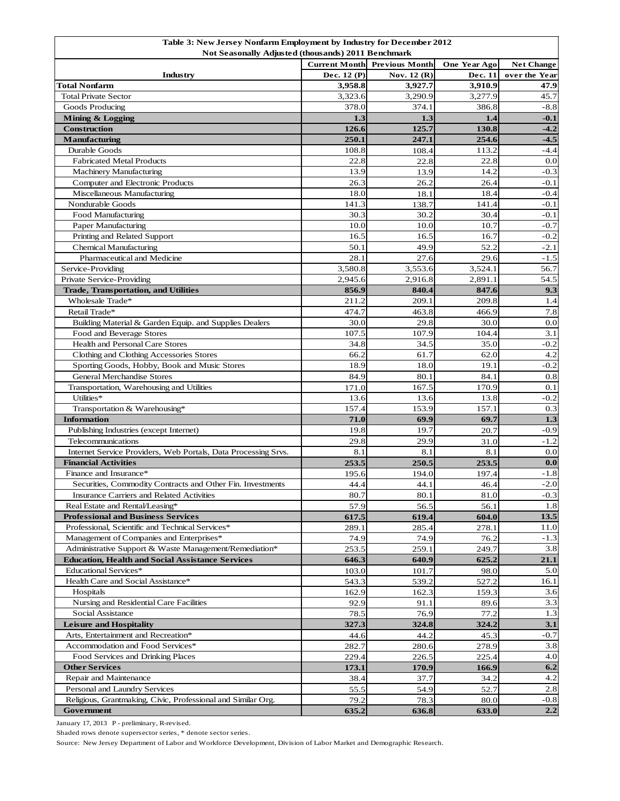| Table 3: New Jersey Nonfarm Employment by Industry for December 2012 |                      |                       |              |                   |  |  |  |
|----------------------------------------------------------------------|----------------------|-----------------------|--------------|-------------------|--|--|--|
| <b>Not Seasonally Adjusted (thousands) 2011 Benchmark</b>            |                      |                       |              |                   |  |  |  |
|                                                                      | <b>Current Month</b> | <b>Previous Month</b> | One Year Ago | <b>Net Change</b> |  |  |  |
| Industry                                                             | Dec. 12 (P)          | Nov. 12 (R)           | Dec. 11      | over the Year     |  |  |  |
| <b>Total Nonfarm</b>                                                 | 3,958.8              | 3,927.7               | 3,910.9      | 47.9              |  |  |  |
| <b>Total Private Sector</b>                                          | 3,323.6              | 3,290.9               | 3,277.9      | 45.7              |  |  |  |
| Goods Producing                                                      | 378.0                | 374.1                 | 386.8        | $-8.8$            |  |  |  |
| Mining & Logging                                                     | 1.3                  | 1.3                   | 1.4          | $-0.1$            |  |  |  |
| Construction                                                         | 126.6                | 125.7                 | 130.8        | $-4.2$            |  |  |  |
| Manufacturing                                                        | 250.1                | 247.1                 | 254.6        | $-4.5$            |  |  |  |
| Durable Goods                                                        | 108.8                | 108.4                 | 113.2        | $-4.4$            |  |  |  |
| <b>Fabricated Metal Products</b>                                     | 22.8                 | 22.8                  | 22.8         | 0.0               |  |  |  |
| <b>Machinery Manufacturing</b>                                       | 13.9                 | 13.9                  | 14.2         | $-0.3$            |  |  |  |
| Computer and Electronic Products                                     | 26.3                 | 26.2                  | 26.4         | $-0.1$            |  |  |  |
| Miscellaneous Manufacturing                                          | 18.0                 | 18.1                  | 18.4         | $-0.4$            |  |  |  |
| Nondurable Goods                                                     | 141.3                | 138.7                 | 141.4        | $-0.1$            |  |  |  |
| Food Manufacturing                                                   | 30.3                 | 30.2                  | 30.4         | $-0.1$            |  |  |  |
| Paper Manufacturing                                                  | 10.0                 | 10.0                  | 10.7         | $-0.7$            |  |  |  |
| Printing and Related Support                                         | 16.5                 | 16.5                  | 16.7         | $-0.2$            |  |  |  |
| <b>Chemical Manufacturing</b>                                        | 50.1                 | 49.9                  | 52.2         | $-2.1$            |  |  |  |
| Pharmaceutical and Medicine                                          | 28.1                 | 27.6                  | 29.6         | $-1.5$            |  |  |  |
| Service-Providing                                                    | 3,580.8              | 3,553.6               | 3,524.1      | 56.7              |  |  |  |
| Private Service-Providing                                            | 2,945.6              | 2,916.8               | 2,891.1      | 54.5              |  |  |  |
| <b>Trade, Transportation, and Utilities</b>                          | 856.9                | 840.4                 | 847.6        | 9.3               |  |  |  |
| Wholesale Trade*                                                     | 211.2                | 209.1                 | 209.8        | 1.4               |  |  |  |
| Retail Trade*                                                        | 474.7                | 463.8                 | 466.9        | 7.8               |  |  |  |
| Building Material & Garden Equip. and Supplies Dealers               | 30.0                 | 29.8                  | 30.0         | 0.0               |  |  |  |
| Food and Beverage Stores                                             | 107.5                | 107.9                 | 104.4        | 3.1               |  |  |  |
| Health and Personal Care Stores                                      | 34.8                 | 34.5                  | 35.0         | $-0.2$            |  |  |  |
| Clothing and Clothing Accessories Stores                             | 66.2                 | 61.7                  | 62.0         | 4.2               |  |  |  |
| Sporting Goods, Hobby, Book and Music Stores                         | 18.9                 | 18.0                  | 19.1         | $-0.2$            |  |  |  |
| <b>General Merchandise Stores</b>                                    | 84.9                 | 80.1                  | 84.1         | 0.8               |  |  |  |
| Transportation, Warehousing and Utilities                            | 171.0                | 167.5                 | 170.9        | 0.1               |  |  |  |
| Utilities*                                                           | 13.6                 | 13.6                  | 13.8         | $-0.2$            |  |  |  |
|                                                                      | 157.4                | 153.9                 | 157.1        | 0.3               |  |  |  |
| Transportation & Warehousing*<br><b>Information</b>                  | 71.0                 | 69.9                  | 69.7         | 1.3               |  |  |  |
|                                                                      |                      |                       |              | $-0.9$            |  |  |  |
| Publishing Industries (except Internet)<br>Telecommunications        | 19.8<br>29.8         | 19.7<br>29.9          | 20.7         | $-1.2$            |  |  |  |
| Internet Service Providers, Web Portals, Data Processing Srvs.       |                      |                       | 31.0         |                   |  |  |  |
| <b>Financial Activities</b>                                          | 8.1                  | 8.1                   | 8.1          | 0.0               |  |  |  |
| Finance and Insurance*                                               | 253.5                | 250.5                 | 253.5        | 0.0<br>$-1.8$     |  |  |  |
|                                                                      | 195.6                | 194.0                 | 197.4        |                   |  |  |  |
| Securities, Commodity Contracts and Other Fin. Investments           | 44.4                 | 44.1                  | 46.4         | $-2.0$            |  |  |  |
| Insurance Carriers and Related Activities                            | 80.7                 | 80.1                  | 81.0         | $-0.3$            |  |  |  |
| Real Estate and Rental/Leasing*                                      | 57.9                 | 56.5                  | 56.1         | 1.8               |  |  |  |
| <b>Professional and Business Services</b>                            | 617.5                | 619.4                 | 604.0        | 13.5              |  |  |  |
| Professional, Scientific and Technical Services*                     | 289.1                | 285.4                 | 278.1        | 11.0              |  |  |  |
| Management of Companies and Enterprises*                             | 74.9                 | 74.9                  | 76.2         | $-1.3$            |  |  |  |
| Administrative Support & Waste Management/Remediation*               | 253.5                | 259.1                 | 249.7        | 3.8               |  |  |  |
| <b>Education, Health and Social Assistance Services</b>              | 646.3                | 640.9                 | 625.2        | 21.1              |  |  |  |
| <b>Educational Services*</b>                                         | 103.0                | 101.7                 | 98.0         | 5.0               |  |  |  |
| Health Care and Social Assistance*                                   | 543.3                | 539.2                 | 527.2        | 16.1              |  |  |  |
| Hospitals                                                            | 162.9                | 162.3                 | 159.3        | 3.6               |  |  |  |
| Nursing and Residential Care Facilities                              | 92.9                 | 91.1                  | 89.6         | 3.3               |  |  |  |
| Social Assistance                                                    | 78.5                 | 76.9                  | 77.2         | 1.3               |  |  |  |
| <b>Leisure and Hospitality</b>                                       | 327.3                | 324.8                 | 324.2        | 3.1               |  |  |  |
| Arts, Entertainment and Recreation*                                  | 44.6                 | 44.2                  | 45.3         | $-0.7$            |  |  |  |
| Accommodation and Food Services*                                     | 282.7                | 280.6                 | 278.9        | 3.8               |  |  |  |
| Food Services and Drinking Places                                    | 229.4                | 226.5                 | 225.4        | 4.0               |  |  |  |
| <b>Other Services</b>                                                | 173.1                | 170.9                 | 166.9        | 6.2               |  |  |  |
| Repair and Maintenance                                               | 38.4                 | 37.7                  | 34.2         | 4.2               |  |  |  |
| Personal and Laundry Services                                        | 55.5                 | 54.9                  | 52.7         | 2.8               |  |  |  |
| Religious, Grantmaking, Civic, Professional and Similar Org.         | 79.2                 | 78.3                  | 80.0         | $-0.8$            |  |  |  |
| Government                                                           | 635.2                | 636.8                 | 633.0        | 2.2               |  |  |  |

January 17, 2013 P - preliminary, R-revised.

Shaded rows denote supersector series, \* denote sector series.

Source: New Jersey Department of Labor and Workforce Development, Division of Labor Market and Demographic Research.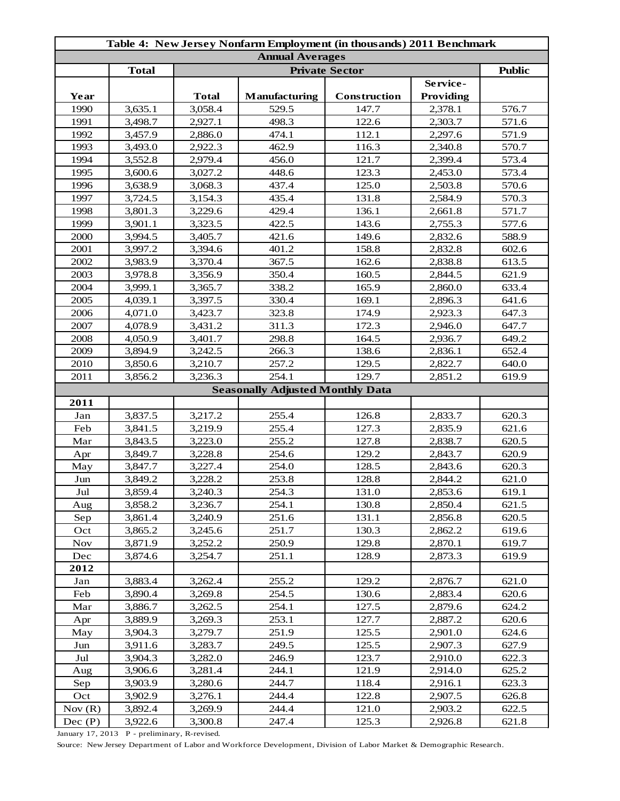| Table 4: New Jersey Nonfarm Employment (in thousands) 2011 Benchmark |              |              |                                         |              |           |       |  |
|----------------------------------------------------------------------|--------------|--------------|-----------------------------------------|--------------|-----------|-------|--|
| <b>Annual Averages</b><br><b>Private Sector</b>                      |              |              |                                         |              |           |       |  |
|                                                                      | <b>Total</b> |              | <b>Public</b>                           |              |           |       |  |
|                                                                      |              |              |                                         |              | Service-  |       |  |
| Year                                                                 |              | <b>Total</b> | Manufacturing                           | Construction | Providing |       |  |
| 1990                                                                 | 3,635.1      | 3,058.4      | 529.5                                   | 147.7        | 2,378.1   | 576.7 |  |
| 1991                                                                 | 3,498.7      | 2,927.1      | 498.3                                   | 122.6        | 2,303.7   | 571.6 |  |
| 1992                                                                 | 3,457.9      | 2,886.0      | 474.1                                   | 112.1        | 2,297.6   | 571.9 |  |
| 1993                                                                 | 3,493.0      | 2,922.3      | 462.9                                   | 116.3        | 2,340.8   | 570.7 |  |
| 1994                                                                 | 3,552.8      | 2,979.4      | 456.0                                   | 121.7        | 2,399.4   | 573.4 |  |
| 1995                                                                 | 3,600.6      | 3,027.2      | 448.6                                   | 123.3        | 2,453.0   | 573.4 |  |
| 1996                                                                 | 3,638.9      | 3,068.3      | 437.4                                   | 125.0        | 2,503.8   | 570.6 |  |
| 1997                                                                 | 3,724.5      | 3,154.3      | 435.4                                   | 131.8        | 2,584.9   | 570.3 |  |
| 1998                                                                 | 3,801.3      | 3,229.6      | 429.4                                   | 136.1        | 2,661.8   | 571.7 |  |
| 1999                                                                 | 3,901.1      | 3,323.5      | 422.5                                   | 143.6        | 2,755.3   | 577.6 |  |
| 2000                                                                 | 3,994.5      | 3,405.7      | 421.6                                   | 149.6        | 2,832.6   | 588.9 |  |
| 2001                                                                 | 3,997.2      | 3,394.6      | 401.2                                   | 158.8        | 2,832.8   | 602.6 |  |
| 2002                                                                 | 3,983.9      | 3,370.4      | 367.5                                   | 162.6        | 2,838.8   | 613.5 |  |
| 2003                                                                 | 3,978.8      | 3,356.9      | 350.4                                   | 160.5        | 2,844.5   | 621.9 |  |
| 2004                                                                 | 3,999.1      | 3,365.7      | 338.2                                   | 165.9        | 2,860.0   | 633.4 |  |
| 2005                                                                 | 4,039.1      | 3,397.5      | 330.4                                   | 169.1        | 2,896.3   | 641.6 |  |
| 2006                                                                 | 4,071.0      | 3,423.7      | 323.8                                   | 174.9        | 2,923.3   | 647.3 |  |
| 2007                                                                 | 4,078.9      | 3,431.2      | 311.3                                   | 172.3        | 2,946.0   | 647.7 |  |
| 2008                                                                 | 4,050.9      | 3,401.7      | 298.8                                   | 164.5        | 2,936.7   | 649.2 |  |
| 2009                                                                 | 3,894.9      | 3,242.5      | 266.3                                   | 138.6        | 2,836.1   | 652.4 |  |
| 2010                                                                 | 3,850.6      | 3,210.7      | 257.2                                   | 129.5        | 2,822.7   | 640.0 |  |
| 2011                                                                 | 3,856.2      | 3,236.3      | 254.1                                   | 129.7        | 2,851.2   | 619.9 |  |
|                                                                      |              |              | <b>Seasonally Adjusted Monthly Data</b> |              |           |       |  |
| 2011                                                                 |              |              |                                         |              |           |       |  |
| Jan                                                                  | 3,837.5      | 3,217.2      | 255.4                                   | 126.8        | 2,833.7   | 620.3 |  |
| Feb                                                                  | 3,841.5      | 3,219.9      | 255.4                                   | 127.3        | 2,835.9   | 621.6 |  |
| Mar                                                                  | 3,843.5      | 3,223.0      | 255.2                                   | 127.8        | 2,838.7   | 620.5 |  |
| Apr                                                                  | 3,849.7      | 3,228.8      | 254.6                                   | 129.2        | 2,843.7   | 620.9 |  |
| May                                                                  | 3,847.7      | 3,227.4      | 254.0                                   | 128.5        | 2,843.6   | 620.3 |  |
| Jun                                                                  | 3,849.2      | 3,228.2      | 253.8                                   | 128.8        | 2,844.2   | 621.0 |  |
| Jul                                                                  | 3,859.4      | 3,240.3      | 254.3                                   | 131.0        | 2,853.6   | 619.1 |  |
| Aug                                                                  | 3,858.2      | 3,236.7      | 254.1                                   | 130.8        | 2,850.4   | 621.5 |  |
| Sep                                                                  | 3,861.4      | 3,240.9      | 251.6                                   | 131.1        | 2,856.8   | 620.5 |  |
| Oct                                                                  | 3,865.2      | 3,245.6      | 251.7                                   | 130.3        | 2,862.2   | 619.6 |  |
| <b>Nov</b>                                                           | 3,871.9      | 3,252.2      | 250.9                                   | 129.8        | 2,870.1   | 619.7 |  |
| Dec                                                                  | 3,874.6      | 3,254.7      | 251.1                                   | 128.9        | 2,873.3   | 619.9 |  |
| 2012                                                                 |              |              |                                         |              |           |       |  |
| Jan                                                                  | 3,883.4      | 3,262.4      | 255.2                                   | 129.2        | 2,876.7   | 621.0 |  |
| Feb                                                                  | 3,890.4      | 3,269.8      | 254.5                                   | 130.6        | 2,883.4   | 620.6 |  |
| Mar                                                                  | 3,886.7      | 3,262.5      | 254.1                                   | 127.5        | 2,879.6   | 624.2 |  |
| Apr                                                                  | 3,889.9      | 3,269.3      | 253.1                                   | 127.7        | 2,887.2   | 620.6 |  |
| May                                                                  | 3,904.3      | 3,279.7      | 251.9                                   | 125.5        | 2,901.0   | 624.6 |  |
| Jun                                                                  | 3,911.6      | 3,283.7      | 249.5                                   | 125.5        | 2,907.3   | 627.9 |  |
| Jul                                                                  | 3,904.3      | 3,282.0      | 246.9                                   | 123.7        | 2,910.0   | 622.3 |  |
| Aug                                                                  | 3,906.6      | 3,281.4      | 244.1                                   | 121.9        | 2,914.0   | 625.2 |  |
| Sep                                                                  | 3,903.9      | 3,280.6      | 244.7                                   | 118.4        | 2,916.1   | 623.3 |  |
| Oct                                                                  | 3,902.9      | 3,276.1      | 244.4                                   | 122.8        | 2,907.5   | 626.8 |  |
| Nov(R)                                                               | 3,892.4      | 3,269.9      | 244.4                                   | 121.0        | 2,903.2   | 622.5 |  |
| Dec $(P)$                                                            | 3,922.6      | 3,300.8      | 247.4                                   | 125.3        | 2,926.8   | 621.8 |  |

January 17, 2013 P - preliminary, R-revised.

Source: New Jersey Department of Labor and Workforce Development, Division of Labor Market & Demographic Research.